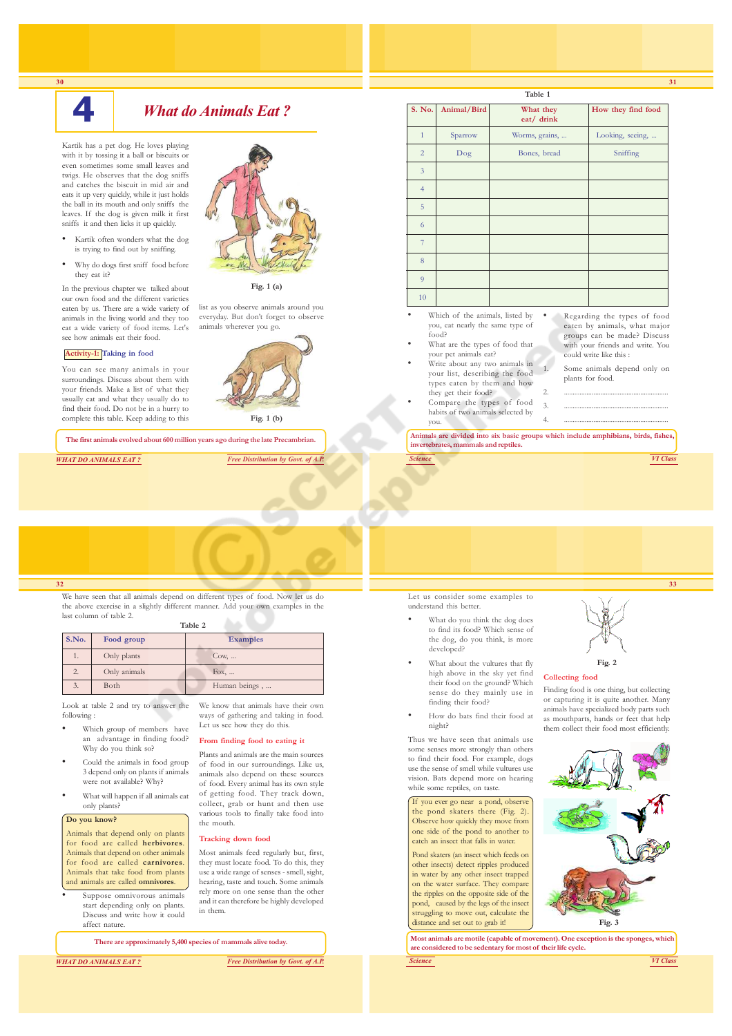

# **4** *What do Animals Eat ?*

- Kartik often wonders what the dog is trying to find out by sniffing.
- Why do dogs first sniff food before they eat it?

### **Activity-1: Taking in food**





The first animals evolved about 600 million years ago during the late Precambrian

*WHAT DO ANIMALS EAT ? Free Distribution by Govt. of A.P.*

|                                        |                             |                |                                                                     | Table 1                 |                                                             |
|----------------------------------------|-----------------------------|----------------|---------------------------------------------------------------------|-------------------------|-------------------------------------------------------------|
|                                        | <b>What do Animals Eat?</b> | S. No.         | Animal/Bird                                                         | What they<br>eat/ drink | How they find food                                          |
|                                        |                             | $\mathbf{1}$   | Sparrow                                                             | Worms, grains,          | Looking, seeing,                                            |
|                                        |                             | $\overline{2}$ | Dog                                                                 | Bones, bread            | Sniffing                                                    |
|                                        |                             | 3              |                                                                     |                         |                                                             |
|                                        |                             | $\overline{4}$ |                                                                     |                         |                                                             |
|                                        |                             | 5              |                                                                     |                         |                                                             |
|                                        |                             | 6              |                                                                     |                         |                                                             |
|                                        |                             | 7              |                                                                     |                         |                                                             |
|                                        |                             | 8              |                                                                     |                         |                                                             |
| Fig. $1(a)$                            |                             | $\overline{9}$ |                                                                     |                         |                                                             |
| list as you observe animals around you |                             | 10             |                                                                     |                         |                                                             |
| everyday. But don't forget to observe  |                             |                | Which of the animals, listed by<br>you, eat nearly the same type of |                         | Regarding the types of food                                 |
| animals wherever you go.               |                             |                | food?                                                               |                         | eaten by animals, what major<br>groups can be made? Discuss |
|                                        |                             |                | What are the types of food that<br>your pet animals eat?            |                         | with your friends and write. You<br>could write like this:  |
|                                        |                             |                | Write about any two animals in                                      |                         |                                                             |
|                                        |                             |                | your list, describing the food                                      |                         | Some animals depend only on<br>plants for food.             |
|                                        |                             |                | types eaten by them and how<br>they get their food?                 |                         |                                                             |
|                                        |                             |                | Compare the types of food                                           | 3.                      |                                                             |
| Fig. $1(b)$                            |                             |                | habits of two animals selected by                                   | 4.                      |                                                             |

**Animals are divided into six basic groups which include amphibians, birds, fishes, invertebrates, mammals and reptiles.**

*Science VI Class*



We have seen that all animals depend on different types of food. Now let us do the above exercise in a slightly different manner. Add your own examples in the last column of table 2.

**Table 2**

| S.No. | Food group   | <b>Examples</b> |  |
|-------|--------------|-----------------|--|
|       | Only plants  | $Cow, \ldots$   |  |
| 2.    | Only animals | Fox, $\dots$    |  |
| 3.    | Both         | Human beings,   |  |
|       |              |                 |  |

Look at table 2 and try to answer the following :

- Which group of members have an advantage in finding food? Why do you think so?
- Could the animals in food group 3 depend only on plants if animals were not available? Why?
- What will happen if all animals eat only plants?

### **Do you know?**

Animals that depend only on plants for food are called **herbivores**. Animals that depend on other animals for food are called **carnivores**. Animals that take food from plants and animals are called **omnivores**.

Suppose omnivorous animals start depending only on plants. Discuss and write how it could affect nature.

**There are approximately 5,400 species of mammals alive today.**

#### We know that animals have their own ways of gathering and taking in food. Let us see how they do this.

#### **From finding food to eating it**

Plants and animals are the main sources of food in our surroundings. Like us, animals also depend on these sources of food. Every animal has its own style of getting food. They track down, collect, grab or hunt and then use various tools to finally take food into the mouth.

#### **Tracking down food**

Most animals feed regularly but, first, they must locate food. To do this, they use a wide range of senses - smell, sight, hearing, taste and touch. Some animals rely more on one sense than the other and it can therefore be highly developed in them.

*WHAT DO ANIMALS EAT ? Free Distribution by Govt. of A.P.*

Let us consider some examples to understand this better.

- What do you think the dog does to find its food? Which sense of the dog, do you think, is more developed?
- What about the vultures that fly high above in the sky yet find their food on the ground? Which sense do they mainly use in finding their food?
- How do bats find their food at night?

Thus we have seen that animals use some senses more strongly than others to find their food. For example, dogs use the sense of smell while vultures use vision. Bats depend more on hearing while some reptiles, on taste.

the pond skaters there (Fig. 2). Observe how quickly they move from one side of the pond to another to catch an insect that falls in water.

Pond skaters (an insect which feeds on other insects) detect ripples produced in water by any other insect trapped on the water surface. They compare the ripples on the opposite side of the pond, caused by the legs of the insect struggling to move out, calculate the distance and set out to grab it!



**33**

## **Collecting food**

Finding food is one thing, but collecting or capturing it is quite another. Many animals have specialized body parts such as mouthparts, hands or feet that help them collect their food most efficiently.



*Science VI Class* **Most animals are motile (capable of movement). One exception is the sponges, which are considered to be sedentary for most of their life cycle.**

If you ever go near a pond, observe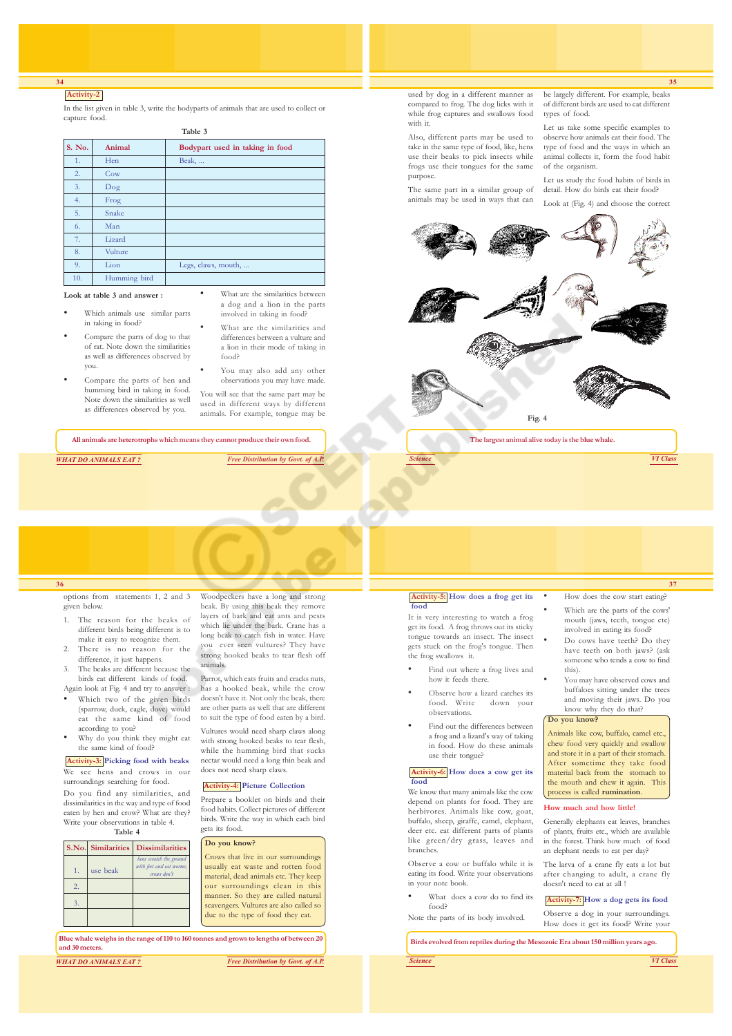#### **Activity-2**

In the list given in table 3, write the bodyparts of animals that are used to collect or capture food. **Table 3**

| rabie J |              |                                 |
|---------|--------------|---------------------------------|
| S. No.  | Animal       | Bodypart used in taking in food |
| 1.      | Hen          | Beak,                           |
| 2.      | Cow          |                                 |
| 3.      | Dog          |                                 |
| 4.      | Frog         |                                 |
| 5.      | Snake        |                                 |
| 6.      | Man          |                                 |
| 7.      | Lizard       |                                 |
| 8.      | Vulture      |                                 |
| 9.      | Lion         | Legs, claws, mouth,             |
| 10.     | Humming bird |                                 |

#### **Look at table 3 and answer :**

- Which animals use similar parts in taking in food?
- Compare the parts of dog to that of rat. Note down the similarities as well as differences observed by you.
- Compare the parts of hen and humming bird in taking in food. Note down the similarities as well as differences observed by you.
- What are the similarities between a dog and a lion in the parts involved in taking in food?
- What are the similarities and differences between a vulture and a lion in their mode of taking in food?
- You may also add any other observations you may have made.
- You will see that the same part may be used in different ways by different animals. For example, tongue may be

#### *34*  **All animals are heterotrophs which means they cannot produce their own food.**

*WHAT DO ANIMALS EAT ? Free Distribution by Govt. of A.P.*

used by dog in a different manner as compared to frog. The dog licks with it while frog captures and swallows food with it.

Also, different parts may be used to take in the same type of food, like, hens use their beaks to pick insects while frogs use their tongues for the same

The same part in a similar group of animals may be used in ways that can

purpose.

#### be largely different. For example, beaks of different birds are used to eat different types of food.

**35**

Let us take some specific examples to observe how animals eat their food. The type of food and the ways in which an animal collects it, form the food habit of the organism.

Let us study the food habits of birds in detail. How do birds eat their food? Look at (Fig. 4) and choose the correct



## **36**

options from statements 1, 2 and 3 given below.

- 1. The reason for the beaks of different birds being different is to make it easy to recognize them.
- There is no reason for the difference, it just happens. The beaks are different because the
- birds eat different kinds of food. Again look at Fig. 4 and try to answer :
- Which two of the given birds (sparrow, duck, eagle, dove) would eat the same kind of food according to you?
- Why do you think they might eat the same kind of food?

### **Activity-3: Picking food with beaks**

We see hens and crows in our surroundings searching for food.

Do you find any similarities, and dissimilarities in the way and type of food eaten by hen and crow? What are they? Write your observations in table 4. **Table 4**

|    |          | S.No. Similarities Dissimilarities                                 |
|----|----------|--------------------------------------------------------------------|
| 1. | use beak | hens scratch the ground<br>with feet and eat worms,<br>crows don't |
| 2. |          |                                                                    |
|    |          |                                                                    |
|    |          |                                                                    |

Woodpeckers have a long and strong beak. By using this beak they remove layers of bark and eat ants and pests which lie under the bark. Crane has a long beak to catch fish in water. Have you ever seen vultures? They have strong hooked beaks to tear flesh off animals.

Parrot, which eats fruits and cracks nuts, has a hooked beak, while the crow doesn't have it. Not only the beak, there are other parts as well that are different to suit the type of food eaten by a bird.

Vultures would need sharp claws along with strong hooked beaks to tear flesh, while the humming bird that sucks nectar would need a long thin beak and does not need sharp claws.

### **Activity-4: Picture Collection**

Prepare a booklet on birds and their food habits. Collect pictures of different birds. Write the way in which each bird gets its food.

#### **Do you know?**

Crows that live in our surroundings usually eat waste and rotten food material, dead animals etc. They keep our surroundings clean in this manner. So they are called natural scavengers. Vultures are also called so due to the type of food they eat.

*36* **Blue whale weighs in the range of 110 to 160 tonnes and grows to lengths of between 20 and 30 meters.**

*WHAT DO ANIMALS EAT ? Free Distribution by Govt. of A.P.*

#### **Activity-5: How does a frog get its food**

It is very interesting to watch a frog get its food. A frog throws out its sticky tongue towards an insect. The insect gets stuck on the frog's tongue. Then the frog swallows it.

- Find out where a frog lives and how it feeds there.
- Observe how a lizard catches its food. Write down your observations.
- Find out the differences between a frog and a lizard's way of taking in food. How do these animals use their tongue?

#### **Activity-6: How does a cow get its food**

We know that many animals like the cow depend on plants for food. They are herbivores. Animals like cow, goat, buffalo, sheep, giraffe, camel, elephant, deer etc. eat different parts of plants like green/dry grass, leaves and branches.

- Observe a cow or buffalo while it is eating its food. Write your observations in your note book.
- What does a cow do to find its food?
- Note the parts of its body involved.

How does the cow start eating?

**37**

- Which are the parts of the cows' mouth (jaws, teeth, tongue etc) involved in eating its food?
- Do cows have teeth? Do they have teeth on both jaws? (ask someone who tends a cow to find this).
- You may have observed cows and buffaloes sitting under the trees and moving their jaws. Do you know why they do that?

#### **Do you know?**

Animals like cow, buffalo, camel etc., chew food very quickly and swallow and store it in a part of their stomach. After sometime they take food material back from the stomach to the mouth and chew it again. This process is called **rumination**.

#### **How much and how little!**

Generally elephants eat leaves, branches of plants, fruits etc., which are available in the forest. Think how much of food an elephant needs to eat per day?

The larva of a crane fly eats a lot but after changing to adult, a crane fly doesn't need to eat at all !

#### **Activity-7: How a dog gets its food** Observe a dog in your surroundings.

How does it get its food? Write your

**Birds evolved from reptiles during the Mesozoic Era about 150 million years ago.**

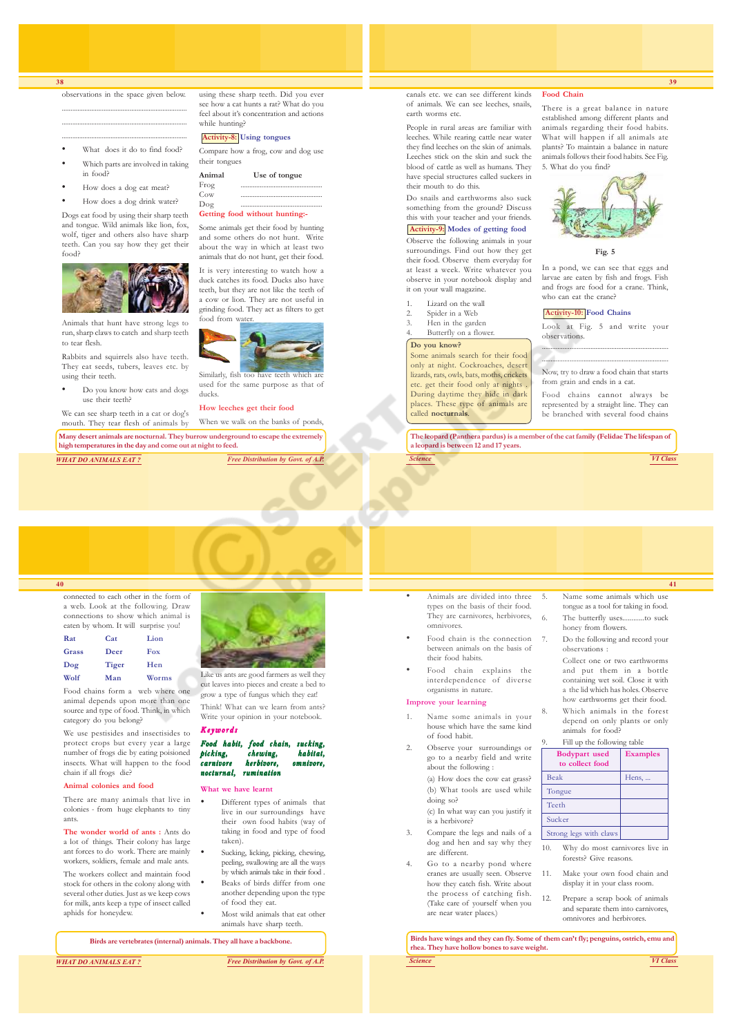observations in the space given below. ........................................................................

- ........................................................................ ........................................................................
- What does it do to find food?
- Which parts are involved in taking
- in food? • How does a dog eat meat?
- 
- How does a dog drink water?

Dogs eat food by using their sharp teeth and tongue. Wild animals like lion, fox, wolf, tiger and others also have sharp teeth. Can you say how they get their food?



Animals that hunt have strong legs to run, sharp claws to catch and sharp teeth to tear flesh.

Rabbits and squirrels also have teeth. They eat seeds, tubers, leaves etc. by using their teeth.

• Do you know how cats and dogs use their teeth?

We can see sharp teeth in a cat or dog's mouth. They tear flesh of animals by

*38* **Many desert animals are nocturnal. They burrow underground to escape the extremely** *WHAT DO ANIMALS EAT ? Free Distribution by Govt. of A.P.* **high temperatures in the day and come out at night to feed.**

using these sharp teeth. Did you ever see how a cat hunts a rat? What do you feel about it's concentration and actions while hunting?

### **Activity-8: Using tongues**

Compare how a frog, cow and dog use their tongues

| Animal | Use of tongue |
|--------|---------------|
| Frog   |               |
| Cow    |               |

#### Dog **Getting food without hunting:-**

Some animals get their food by hunting and some others do not hunt. Write about the way in which at least two animals that do not hunt, get their food.

It is very interesting to watch how a duck catches its food. Ducks also have teeth, but they are not like the teeth of a cow or lion. They are not useful in grinding food. They act as filters to get food from water



Similarly, fish too have teeth which are used for the same purpose as that of ducks.

**How leeches get their food**

When we walk on the banks of ponds,

canals etc. we can see different kinds of animals. We can see leeches, snails, earth worms etc.

People in rural areas are familiar with leeches. While rearing cattle near water they find leeches on the skin of animals. Leeches stick on the skin and suck the blood of cattle as well as humans. They have special structures called suckers in their mouth to do this.

Do snails and earthworms also suck something from the ground? Discuss this with your teacher and your friends. **Activity-9: Modes of getting food**

Observe the following animals in your surroundings. Find out how they get their food. Observe them everyday for at least a week. Write whatever you observe in your notebook display and it on your wall magazine.

- Lizard on the wall
- Spider in a Web
- Hen in the garden Butterfly on a flower.

#### **Do you know?**

Some animals search for their food only at night. Cockroaches, desert lizards, rats, owls, bats, moths, crickets etc. get their food only at nights During daytime they hide in dark places. These type of animals are called **nocturnals**.

**Food Chain**

There is a great balance in nature established among different plants and animals regarding their food habits. What will happen if all animals ate plants? To maintain a balance in nature animals follows their food habits. See Fig. 5. What do you find?



#### **Fig. 5**

In a pond, we can see that eggs and larvae are eaten by fish and frogs. Fish and frogs are food for a crane. Think, who can eat the crane?

#### **Activity-10: Food Chains**

Look at Fig. 5 and write your observations.

Now, try to draw a food chain that starts from grain and ends in a cat.

Food chains cannot always be represented by a straight line. They can be branched with several food chains

**The leopard (Panthera pardus) is a member of the cat family (Felidae The lifespan of a leopard is between 12 and 17 years.**

*Science VI Class*

**40**

connected to each other in the form of a web. Look at the following. Draw connections to show which animal is eaten by whom. It will surprise you! **Rat Cat Lion Grass Deer Fox Dog Tiger Hen**

**Wolf Man Worms** Food chains form a web where one animal depends upon more than one source and type of food. Think, in which category do you belong?

We use pestisides and insectisides to protect crops but every year a large number of frogs die by eating poisioned insects. What will happen to the food chain if all frogs die?

#### **Animal colonies and food**

There are many animals that live in colonies - from huge elephants to tiny ants.

**The wonder world of ants :** Ants do a lot of things. Their colony has large ant forces to do work. There are mainly workers, soldiers, female and male ants.

The workers collect and maintain food stock for others in the colony along with several other duties. Just as we keep cows for milk, ants keep a type of insect called aphids for honeydew



Like us ants are good farmers as well they cut leaves into pieces and create a bed to grow a type of fungus which they eat!

Think! What can we learn from ants? Write your opinion in your notebook. Keywords

#### Food habit, food chain, sucking, picking, chewing, habitat,<br>carnivore herbivore. omnivore. carnivore herbivore,<br>nocturnal, rumination rumination

#### **What we have learnt**

- Different types of animals that live in our surroundings have their own food habits (way of taking in food and type of food taken).
- Sucking, licking, picking, chewing, peeling, swallowing are all the ways by which animals take in their food . Beaks of birds differ from one another depending upon the type of food they eat.
- Most wild animals that eat other animals have sharp teeth.

**Birds are vertebrates (internal) animals. They all have a backbone.**

#### *WHAT DO ANIMALS EAT ? Free Distribution by Govt. of A.P.*

- Animals are divided into three types on the basis of their food. They are carnivores, herbivores, omnivores.
- Food chain is the connection between animals on the basis of their food habits.
- Food chain explains the interdependence of diverse organisms in nature.

#### **Improve your learning**

- 1. Name some animals in your house which have the same kind of food habit.
- 2. Observe your surroundings or go to a nearby field and write about the following : (a) How does the cow eat grass? (b) What tools are used while
	- doing so? (c) In what way can you justify it is a herbivore?
- Compare the legs and nails of a dog and hen and say why they are different.
- 4. Go to a nearby pond where cranes are usually seen. Observe how they catch fish. Write about the process of catching fish. (Take care of yourself when you are near water places.)

#### **41**

- Name some animals which use tongue as a tool for taking in food. The butterfly uses............to suck honey from flowers.
- 7. Do the following and record your observations :

Collect one or two earthworms and put them in a bottle containing wet soil. Close it with a the lid which has holes. Observe how earthworms get their food.

Which animals in the forest depend on only plants or only animals for food?

Fill up the following table **Bodypart used Examples to collect food** Beak Hens, Tongue Teeth Sucker Strong legs with claws

- 10. Why do most carnivores live in forests? Give reasons.
- 11. Make your own food chain and display it in your class room.
- 12. Prepare a scrap book of animals and separate them into carnivores, omnivores and herbivores.

*Science VI Class* **Birds have wings and they can fly. Some of them can't fly; penguins, ostrich, emu and rhea. They have hollow bones to save weight.**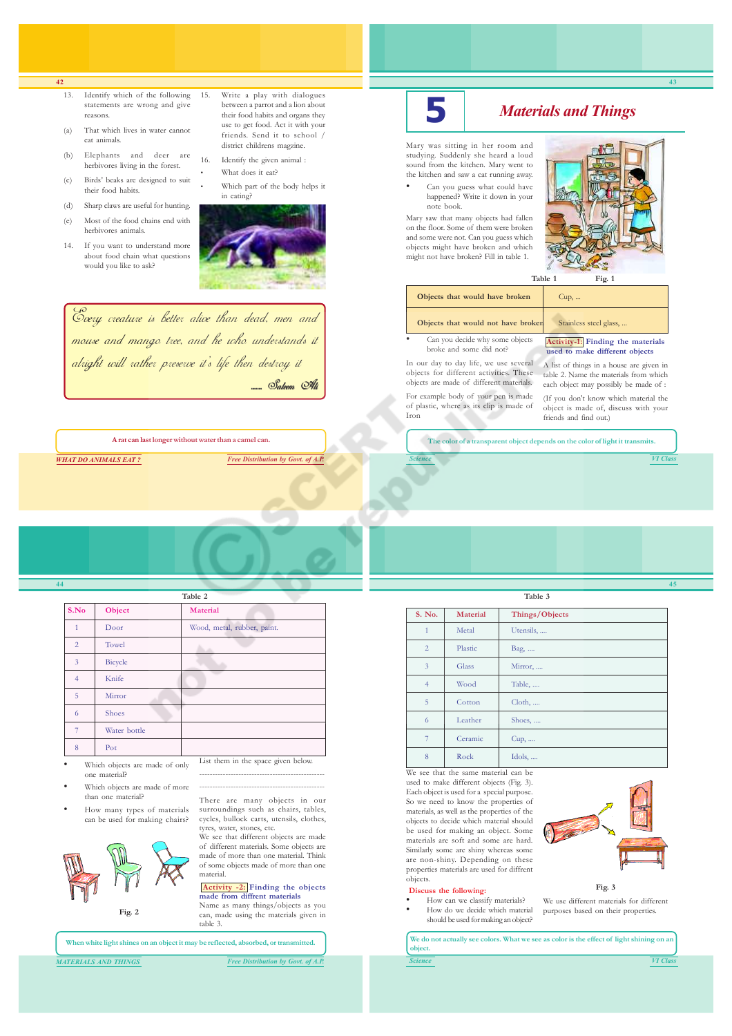- **42**
	- 13. Identify which of the following statements are wrong and give reasons.
	- (a) That which lives in water cannot eat animals.
	- (b) Elephants and deer are herbivores living in the forest.
	- (c) Birds' beaks are designed to suit their food habits.
- (d) Sharp claws are useful for hunting.
- (e) Most of the food chains end with herbivores animals.
- 14. If you want to understand more about food chain what questions would you like to ask?



15. Write a play with dialogues between a parrot and a lion about their food habits and organs they use to get food. Act it with your friends. Send it to school / district childrens magzine. 16. Identify the given animal : What does it eat?

Every creature is better alive than dead, men and mouse and mango tree, and he who understands it alright will rather preserve it's life then destroy it ....... Saleem Ali

**A rat can last longer without water than a camel can.**

**44**

*WHAT DO ANIMALS EAT ? Free Distribution by Govt. of A.P.*



# **5** *Materials and Things*

Mary was sitting in her room and studying. Suddenly she heard a loud sound from the kitchen. Mary went to the kitchen and saw a cat running away.

Can you guess what could have happened? Write it down in your note book.

Mary saw that many objects had fallen on the floor. Some of them were broken and some were not. Can you guess which objects might have broken and which might not have broken? Fill in table 1.



**43**

| Objects that would have broken                                                                                                | Cup,                                                                                                                        |
|-------------------------------------------------------------------------------------------------------------------------------|-----------------------------------------------------------------------------------------------------------------------------|
| Objects that would not have broken                                                                                            | Stainless steel glass,                                                                                                      |
| ٠<br>Can you decide why some objects<br>broke and some did not?                                                               | Activity-1: Finding the materials<br>used to make different objects                                                         |
| In our day to day life, we use several<br>objects for different activities. These<br>objects are made of different materials. | A list of things in a house are given in<br>table 2. Name the materials from which<br>each object may possibly be made of : |
| For example body of your pen is made                                                                                          | 28년 - 2011년 1월 10일 - 1월 10일 - 1월 10일 - 1월 10일 - 1월 10일 - 1월 10일 - 1월 10일 - 1월 10일 - 1월 10일 - 1월 10일 - 1월 10일 -              |

*Science VI Class*

For example body of your pen is made of plastic, where as its clip is made of Iron

(If you don't know which material the object is made of, discuss with your friends and find out.) The color of a transparent object depends on the color of light it trans

**Table 2**

**S.No Object Material** 1 Door Wood, metal, rubber, paint. 2 Towel 3 Bicycle

| 4 | Knife                          |                                     |
|---|--------------------------------|-------------------------------------|
| 5 | Mirror                         |                                     |
| 6 | Shoes                          |                                     |
| 7 | Water bottle                   |                                     |
| 8 | Pot                            |                                     |
|   | Which objects are made of only | List them in the space given below. |

- Which objects are made of only one material?
- Which objects are made of more than one material?
- How many types of materials can be used for making chairs?



------------------------------------------------ ------------------------------------------------

There are many objects in our surroundings such as chairs, tables, cycles, bullock carts, utensils, clothes, tyres, water, stones, etc.

We see that different objects are made of different materials. Some objects are made of more than one material. Think of some objects made of more than one material.

# **Activity -2: Finding the objects made from diffrent materials**

Name as many things/objects as you can, made using the materials given in table 3.

**When white light shines on an object it may be reflected, absorbed, or transmitted.**

*MATERIALS AND THINGS Free Distribution by Govt. of A.P.*



| S. No.         | <b>Material</b> | Things/Objects |
|----------------|-----------------|----------------|
| 1              | Metal           | Utensils,      |
| $\overline{2}$ | Plastic         | Bag,           |
| 3              | Glass           | Mirror,        |
| $\overline{4}$ | Wood            | Table,         |
| 5              | Cotton          | Cloth,         |
| 6              | Leather         | Shoes,         |
| 7              | Ceramic         | $Cup, \ldots$  |
| 8              | Rock            | Idols,         |
|                |                 |                |

We see that the same material can be

used to make different objects (Fig. 3). Each object is used for a special purpose. So we need to know the properties of materials, as well as the properties of the objects to decide which material should be used for making an object. Some materials are soft and some are hard. Similarly some are shiny whereas some are non-shiny. Depending on these properties materials are used for diffrent objects.

> • How do we decide which material should be used for making an object?



**Fig. 3** We use different materials for different purposes based on their properties.

We do not actually see colors. What we see as color is the effect of light shining on a **object.**

*Science VI Class*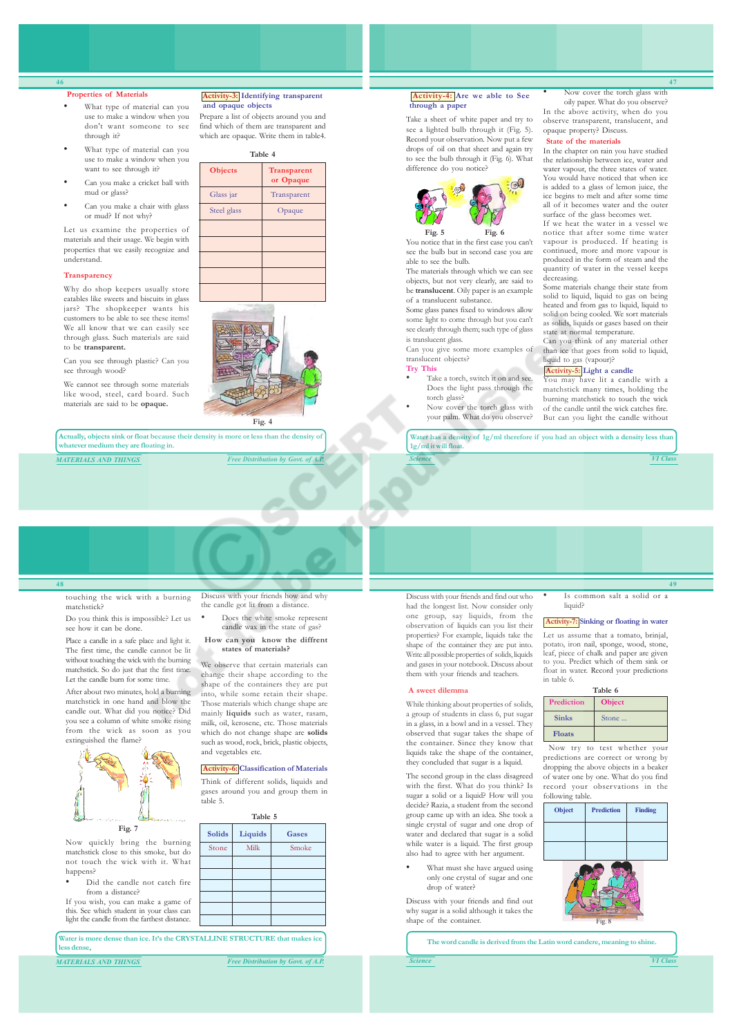## **Properties of Materials**

**46**

- What type of material can you use to make a window when you don't want someone to see through it?
- What type of material can you use to make a window when you want to see through it?
- Can you make a cricket ball with mud or glass?
- Can you make a chair with glass or mud? If not why?

Let us examine the properties of materials and their usage. We begin with properties that we easily recognize and understand.

#### **Transparency**

Why do shop keepers usually store eatables like sweets and biscuits in glass jars? The shopkeeper wants his customers to be able to see these items! We all know that we can easily see through glass. Such materials are said to be **transparent.**

Can you see through plastic? Can you see through wood?

We cannot see through some materials like wood, steel, card board. Such materials are said to be **opaque.**

**Activity-3: Identifying transparent and opaque objects**

Prepare a list of objects around you and find which of them are transparent and which are opaque. Write them in table4.

#### **Table 4**

| Transparent<br>or Opaque |
|--------------------------|
| Transparent              |
| Opaque                   |
|                          |
|                          |
|                          |
|                          |
|                          |
|                          |



**Fig. 4**

*MATERIALS AND THINGS Free Distribution by Govt. of A.P.* **Actually, objects sink or float because their density is more or less than the density of whatever medium they are floating in.**

#### **Activity-4: Are we able to See through a paper**

Take a sheet of white paper and try to see a lighted bulb through it (Fig. 5). Record your observation. Now put a few drops of oil on that sheet and again try to see the bulb through it (Fig. 6). What difference do you notice?



**Fig. 5 Fig. 6** You notice that in the first case you can't see the bulb but in second case you are able to see the bulb.

The materials through which we can see objects, but not very clearly, are said to be **translucent**. Oily paper is an example of a translucent substance.

Some glass panes fixed to windows allow some light to come through but you can't see clearly through them; such type of glass is translucent glass.

Can you give some more examples of translucent objects?

### **Try This**

- Take a torch, switch it on and see. Does the light pass through the torch glass?
	- Now cover the torch glass with your palm. What do you observe?

low cover the torch glass

**47**

oily paper. What do you observe? In the above activity, when do you observe transparent, translucent, and opaque property? Discuss.

#### **State of the materials**

In the chapter on rain you have studied the relationship between ice, water and water vapour, the three states of water. You would have noticed that when ice is added to a glass of lemon juice, the ice begins to melt and after some time all of it becomes water and the outer surface of the glass becomes wet.

If we heat the water in a vessel we notice that after some time water vapour is produced. If heating is continued, more and more vapour is produced in the form of steam and the quantity of water in the vessel keeps decreasing.

Some materials change their state from solid to liquid, liquid to gas on being heated and from gas to liquid, liquid to solid on being cooled. We sort materials as solids, liquids or gases based on their state at normal temperature.

Can you think of any material other than ice that goes from solid to liquid, liquid to gas (vapour)?

### **Activity-5: Light a candle**

You may have lit a candle with a matchstick many times, holding the burning matchstick to touch the wick of the candle until the wick catches fire. But can you light the candle without

**Water has a density of 1g/ml therefore if you had an object with a density less than 1g/ml it will float.**

*Science VI Class*

#### **48**

touching the wick with a burning matchstick?

Do you think this is impossible? Let us see how it can be done

Place a candle in a safe place and light it. The first time, the candle cannot be lit without touching the wick with the burning matchstick. So do just that the first time. Let the candle burn for some time.

After about two minutes, hold a burning matchstick in one hand and blow the candle out. What did you notice? Did you see a column of white smoke rising from the wick as soon as you extinguished the flame?



quickly bring the burning matchstick close to this smoke, but do not touch the wick with it. What happens?

• Did the candle not catch fire from a distance?

If you wish, you can make a game of this. See which student in your class can light the candle from the farthest distance.

**Water is more dense than ice. It's the CRYSTALLINE STRUCTURE that makes ice less dense,**

*MATERIALS AND THINGS Free Distribution by Govt. of A.P.*

Discuss with your friends how and why the candle got lit from a distance. Does the white smoke represent

### candle wax in the state of gas?  **How can you know the diffrent**

**states of materials?**

We observe that certain materials can change their shape according to the shape of the containers they are put into, while some retain their shape. Those materials which change shape are mainly **liquids** such as water, rasam, milk, oil, kerosene, etc. Those materials which do not change shape are **solids** such as wood, rock, brick, plastic objects, and vegetables etc.

#### **Activity-6: Classification of Materials**

Think of different solids, liquids and gases around you and group them in table 5.

| Liquids | Gases |
|---------|-------|
| Milk    | Smoke |
|         |       |
|         |       |
|         |       |
|         |       |
|         |       |
|         |       |
|         |       |

Discuss with your friends and find out who had the longest list. Now consider only one group, say liquids, from the observation of liquids can you list their properties? For example, liquids take the shape of the container they are put into. Write all possible properties of solids, liquids and gases in your notebook. Discuss about them with your friends and teachers.

#### **sweet dilemma**

While thinking about properties of solids, a group of students in class 6, put sugar in a glass, in a bowl and in a vessel. They observed that sugar takes the shape of the container. Since they know that liquids take the shape of the container, they concluded that sugar is a liquid.

The second group in the class disagreed with the first. What do you think? Is sugar a solid or a liquid? How will you decide? Razia, a student from the second group came up with an idea. She took a single crystal of sugar and one drop of water and declared that sugar is a solid while water is a liquid. The first group also had to agree with her argument.

• What must she have argued using only one crystal of sugar and one drop of water?

Discuss with your friends and find out why sugar is a solid although it takes the shape of the container.

**49** Is common salt a solid or a liquid?

#### **Activity-7: Sinking or floating in water**

Let us assume that a tomato, brinjal, potato, iron nail, sponge, wood, stone, leaf, piece of chalk and paper are given to you. Predict which of them sink or float in water. Record your predictions in table 6.

### **Table 6**

| Prediction    | <b>Object</b> |
|---------------|---------------|
| <b>Sinks</b>  | Stone         |
| <b>Floats</b> |               |

 Now try to test whether your predictions are correct or wrong by dropping the above objects in a beaker of water one by one. What do you find record your observations in the following table.



Fig. 8

*Science VI Class* **The word candle is derived from the Latin word candere, meaning to shine.**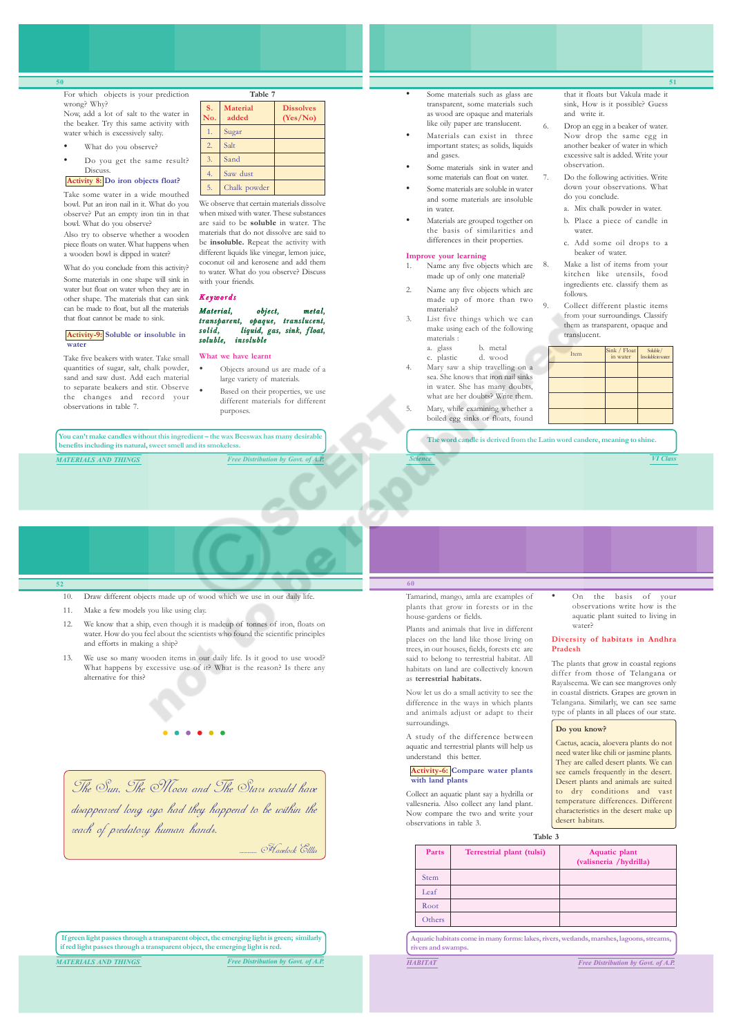For which objects is your prediction wrong? Why? Now, add a lot of salt to the water in

the beaker. Try this same activity with water which is excessively salty.

- What do you observe?
- Do you get the same result? Discuss.

### **Activity 8: Do iron objects float?**

Take some water in a wide mouthed bowl. Put an iron nail in it. What do you observe? Put an empty iron tin in that bowl. What do you observe?

Also try to observe whether a wooden piece floats on water. What happens when a wooden bowl is dipped in water?

What do you conclude from this activity? Some materials in one shape will sink in water but float on water when they are in other shape. The materials that can sink can be made to float, but all the materials that float cannot be made to sink.

#### **Activity-9: Soluble or insoluble in water**

Take five beakers with water. Take small quantities of sugar, salt, chalk powder, sand and saw dust. Add each material to separate beakers and stir. Observe the changes and record your observations in table 7.

## **S. Material Dissolves** added (Yes/No) 1. Sugar 2. Salt 3. Sand 4. Saw dust 5. Chalk powder

**Table 7**

We observe that certain materials dissolve when mixed with water. These substances are said to be **soluble** in water. The materials that do not dissolve are said to be **insoluble.** Repeat the activity with different liquids like vinegar, lemon juice, coconut oil and kerosene and add them to water. What do you observe? Discuss with your friends.

#### Keywords

#### Material, object, metal, transparent, opaque, translucent,<br>solid, kiauid gas sink float solid, liquid, gas, sink, float,<br>soluble. insoluble soluble, insoluble

#### **What we have learnt**

- Objects around us are made of a large variety of materials.
- Based on their properties, we use different materials for different purposes.

## *MATERIALS AND THINGS Free Distribution by Govt. of A.P.* **You can't make candles without this ingredient – the wax Beeswax has many desirable benefits including its natural, sweet smell and its smokeless.**

#### Some materials such as glass are transparent, some materials such as wood are opaque and materials like oily paper are translucent.

- Materials can exist in three important states; as solids, liquids and gases.
- Some materials sink in water and some materials can float on water.
- Some materials are soluble in water and some materials are insoluble in water.
- Materials are grouped together on the basis of similarities and differences in their properties.

#### **Improve your learning** Name any five objects which are

- made up of only one material? Name any five objects which are made up of more than two
- materials? 3. List five things which we can make using each of the following materials :
	- a. glass b. metal<br>c. plastic d. wood
		-
- c. plastic d. wood 4. Mary saw a ship travelling on a sea. She knows that iron nail sinks in water. She has many doubts, what are her doubts? Write them.
- 5. Mary, while examining whether a boiled egg sinks or floats, found

that it floats but Vakula made it sink, How is it possible? Guess and write it.

- 6. Drop an egg in a beaker of water. Now drop the same egg in another beaker of water in which excessive salt is added. Write your observation.
	- 7. Do the following activities. Write down your observations. What do you conclude.
	- a. Mix chalk powder in water.
	- b. Place a piece of candle in water.
	- c. Add some oil drops to a beaker of water.
- 8. Make a list of items from your kitchen like utensils, food ingredients etc. classify them as follows.
- 9. Collect different plastic items from your surroundings. Classify them as transparent, opaque and translucent.

| Item | Sink / Float<br>in water | Soluble/<br>Insoluble in water |
|------|--------------------------|--------------------------------|
|      |                          |                                |
|      |                          |                                |
|      |                          |                                |
|      |                          |                                |

• On the basis of your observations write how is the aquatic plant suited to living in

**Diversity of habitats in Andhra**

The plants that grow in coastal regions differ from those of Telangana or Rayalseema. We can see mangroves only in coastal districts. Grapes are grown in Telangana. Similarly, we can see same type of plants in all places of our state.

Cactus, acacia, aloevera plants do not need water like chili or jasmine plants. They are called desert plants. We can see camels frequently in the desert. Desert plants and animals are suited to dry conditions and vast temperature differences. Different characteristics in the desert make up

water?

**Do you know?**

desert habitats.

**Pradesh**

**The word candle is derived from the Latin word candere, meaning to shine.**

*Science VI Class*

#### **52**

- 10. Draw different objects made up of wood which we use in our daily life.
- 11. Make a few models you like using clay.
- 12. We know that a ship, even though it is madeup of tonnes of iron, floats on water. How do you feel about the scientists who found the scientific principles and efforts in making a ship?
- 13. We use so many wooden items in our daily life. Is it good to use wood? What happens by excessive use of it? What is the reason? Is there any alternative for this?

The Sun, The Moon and The Stars would have disappeared long ago had they happend to be within the reach of predatory human hands.

............. Havelock Elllis

*MATERIALS AND THINGS Free Distribution by Govt. of A.P.*  **If green light passes through a transparent object, the emerging light is green; similarly if red light passes through a transparent object, the emerging light is red.**

Tamarind, mango, amla are examples of plants that grow in forests or in the house-gardens or fields.

**60**

Plants and animals that live in different places on the land like those living on trees, in our houses, fields, forests etc are said to belong to terrestrial habitat. All habitats on land are collectively known as **terrestrial habitats.**

Now let us do a small activity to see the difference in the ways in which plants and animals adjust or adapt to their surroundings.

A study of the difference between aquatic and terrestrial plants will help us understand this better.

### **Activity-6: Compare water plants with land plants**

Collect an aquatic plant say a hydrilla or vallesneria. Also collect any land plant. Now compare the two and write your observations in table 3.

| Table 3 |                           |                                         |  |
|---------|---------------------------|-----------------------------------------|--|
| Parts   | Terrestrial plant (tulsi) | Aquatic plant<br>(valisneria /hydrilla) |  |
| Stem    |                           |                                         |  |
| Leaf    |                           |                                         |  |
| Root    |                           |                                         |  |
| Others  |                           |                                         |  |
|         |                           |                                         |  |

**Aquatic habitats come in many forms: lakes, rivers, wetlands, marshes, lago rivers and swamps.**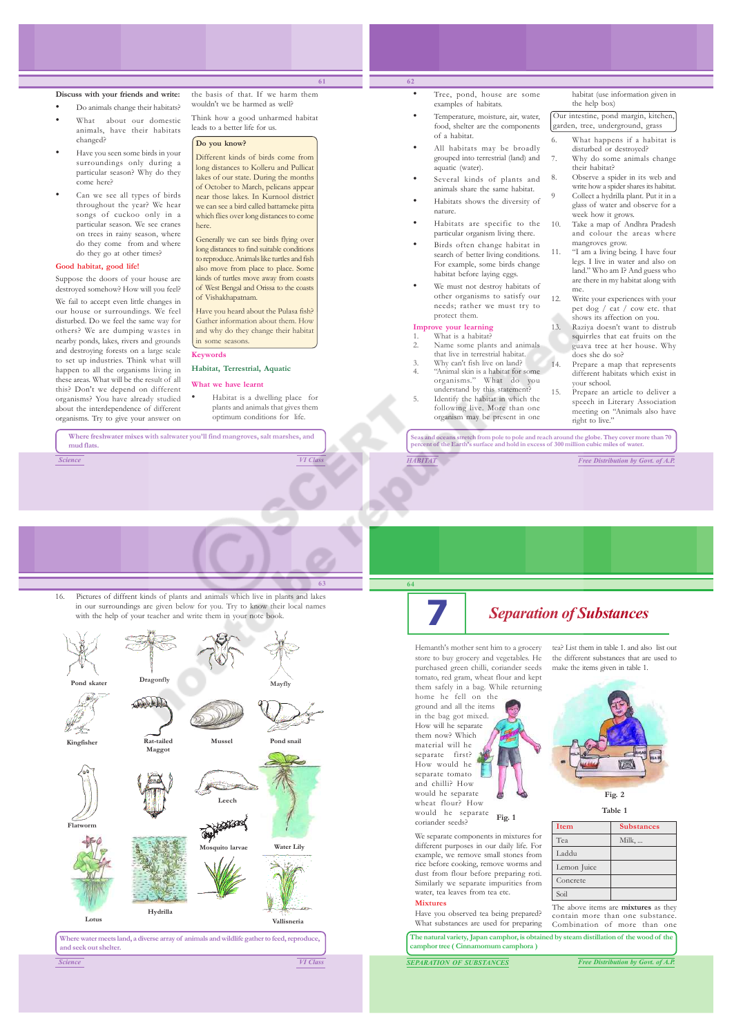## **Discuss with your friends and write:**

- Do animals change their habitats?
- What about our domestic animals, have their habitats changed?
- Have you seen some birds in your surroundings only during a particular season? Why do they come here?
- Can we see all types of birds throughout the year? We hear songs of cuckoo only in a particular season. We see cranes on trees in rainy season, where do they come from and where do they go at other times?

#### **Good habitat, good life!**

Suppose the doors of your house are destroyed somehow? How will you feel? We fail to accept even little changes in our house or surroundings. We feel disturbed. Do we feel the same way for others? We are dumping wastes in nearby ponds, lakes, rivers and grounds and destroying forests on a large scale to set up industries. Think what will happen to all the organisms living in these areas. What will be the result of all this? Don't we depend on different organisms? You have already studied about the interdependence of different organisms. Try to give your answer on

the basis of that. If we harm them wouldn't we be harmed as well?

Think how a good unharmed habitat leads to a better life for us.

**61**

**62**

#### **Do you know?**

Different kinds of birds come from long distances to Kolleru and Pullicat lakes of our state. During the months of October to March, pelicans appear near those lakes. In Kurnool district we can see a bird called battameke pitta which flies over long distances to come here.

Generally we can see birds flying over long distances to find suitable conditions to reproduce. Animals like turtles and fish also move from place to place. Some kinds of turtles move away from coasts of West Bengal and Orissa to the coasts of Vishakhapatnam.

Have you heard about the Pulasa fish? Gather information about them. How and why do they change their habitat in some seasons. **Keywords**

**Habitat, Terrestrial, Aquatic**

### **What we have learnt**

• Habitat is a dwelling place for plants and animals that gives them optimum conditions for life.

**Where freshwater mixes with saltwater you'll find mangroves, salt marshes, and mud flats.**

*Science VI Class*

**63**

16. Pictures of diffrent kinds of plants and animals which live in plants and lakes in our surroundings are given below for you. Try to know their local names with the help of your teacher and write them in your note book.



**Where water meets land, a diverse array of animals and wildlife gather to feed, reproduce, and seek out shelter.** *<sup>64</sup>* **camphor tree ( Cinnamomum camphora )**

*Science VI Class*

**64**

## **7** *Separation of Substances*

Hemanth's mother sent him to a grocery store to buy grocery and vegetables. He purchased green chilli, coriander seeds tomato, red gram, wheat flour and kept them safely in a bag. While returning home he fell on the ground and all the items in the bag got mixed. How will he separate them now? Which material will he separate first? How would he separate tomato and chilli? How would he separate wheat flour? How would he separate **Fig. 1**

We separate components in mixtures for different purposes in our daily life. For example, we remove small stones from rice before cooking, remove worms and dust from flour before preparing roti. Similarly we separate impurities from water, tea leaves from tea etc.

#### **Mixtures**

coriander seeds?

Have you observed tea being prepared? What substances are used for preparing

**The natural variety, Japan camphor, is obtained by steam distillation of the wood of the**



the different substances that are used to make the items given in table 1.



**Fig. 2 Table 1**

| <b>Item</b> | <b>Substances</b> |
|-------------|-------------------|
| Tea         | Milk,             |
| Laddu       |                   |
| Lemon Juice |                   |
| Concrete    |                   |
| Soil        |                   |
|             |                   |

The above items are **mixtures** as they contain more than one substance. Combination of more than one

*SEPARATION OF SUBSTANCES Free Distribution by Govt. of A.P.*





• Tree, pond, house are some examples of habitats. • Temperature, moisture, air, water, food, shelter are the components

All habitats may be broadly grouped into terrestrial (land) and

Several kinds of plants and animals share the same habitat. • Habitats shows the diversity of

• Habitats are specific to the particular organism living there. Birds often change habitat in search of better living conditions.

other organisms to satisfy our needs; rather we must try to protect them.

### **Improve your learning**

of a habitat.

aquatic (water).

nature.

- 1. What is a habitat?<br>2. Name some plan Name some plants and animals
- that live in terrestrial habitat.
- $3.$  Why can't fish live on land?<br> $4.$  "Animal skin is a habitat for 4. "Animal skin is a habitat for some organisms." What do you
- understand by this statement? 5. Identify the habitat in which the following live. More than one organism may be present in one

*HABITAT Free Distribution by Govt. of A.P.* **Seas and oceans stretch from pole to pole and reach around the globe. They cover more than 70 percent of the Earth's surface and hold in excess of 300 million cubic miles of water.**

15. Prepare an article to deliver a speech in Literary Association meeting on "Animals also have

habitat (use information given in

the help box) Our intestine, pond margin, kitchen, garden, tree, underground, grass What happens if a habitat is disturbed or destroyed? Why do some animals change

their habitat?

mangroves grow. 11. "I am a living being. I have four legs. I live in water and also on land." Who am I? And guess who are there in my habitat along with

does she do so? 14. Prepare a map that represents different habitats which exist in

your school.

right to live."

me.

8. Observe a spider in its web and write how a spider shares its habitat. 9 Collect a hydrilla plant. Put it in a glass of water and observe for a week how it grows. 10. Take a map of Andhra Pradesh and colour the areas where

12. Write your experiences with your pet dog / cat / cow etc. that shows its affection on you. 13. Raziya doesn't want to distrub squirrles that eat fruits on the guava tree at her house. Why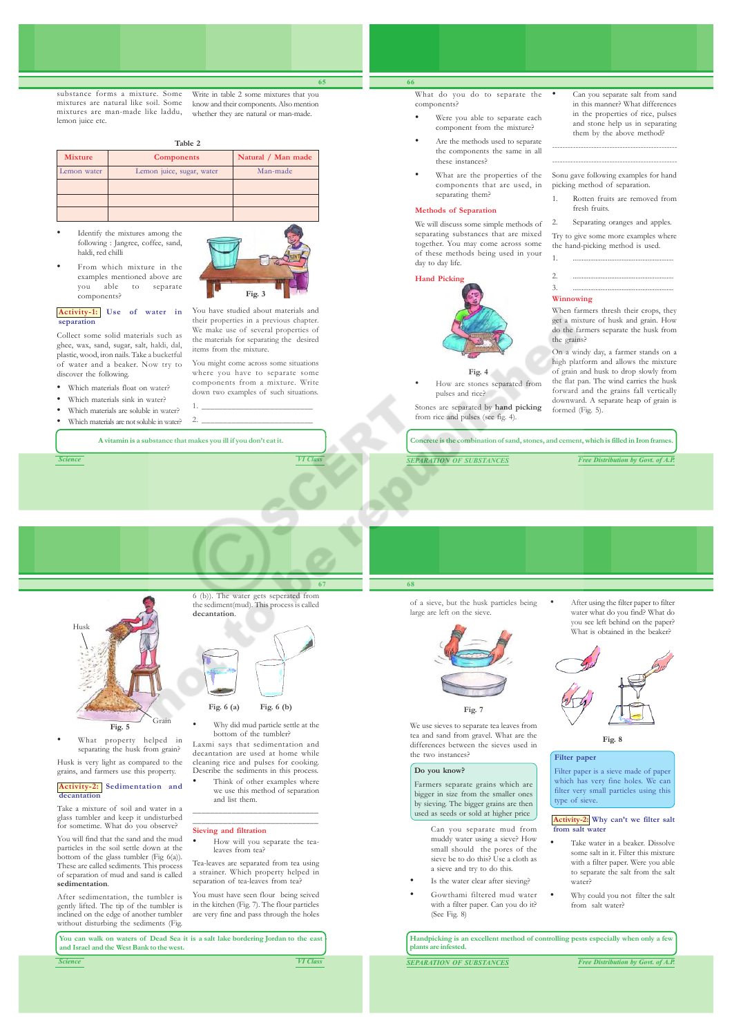|                                                                                                                                                                                                                                                                 |                                                                                                                               | 65                                                                                                                                              | 66                                                                                                                                                                       |                                                                                                                                               |
|-----------------------------------------------------------------------------------------------------------------------------------------------------------------------------------------------------------------------------------------------------------------|-------------------------------------------------------------------------------------------------------------------------------|-------------------------------------------------------------------------------------------------------------------------------------------------|--------------------------------------------------------------------------------------------------------------------------------------------------------------------------|-----------------------------------------------------------------------------------------------------------------------------------------------|
| substance forms a mixture. Some<br>Write in table 2 some mixtures that you<br>mixtures are natural like soil. Some<br>know and their components. Also mention<br>mixtures are man-made like laddu,<br>whether they are natural or man-made.<br>lemon juice etc. |                                                                                                                               | What do you do to separate the .<br>components?<br>Were you able to separate each<br>component from the mixture?                                | Can you separate salt from sand<br>in this manner? What differences<br>in the properties of rice, pulses<br>and stone help us in separating<br>them by the above method? |                                                                                                                                               |
| <b>Mixture</b>                                                                                                                                                                                                                                                  | Table 2<br><b>Components</b>                                                                                                  | Natural / Man made                                                                                                                              | Are the methods used to separate<br>$\bullet$<br>the components the same in all<br>these instances?                                                                      |                                                                                                                                               |
| Lemon water                                                                                                                                                                                                                                                     | Lemon juice, sugar, water                                                                                                     | Man-made                                                                                                                                        | What are the properties of the<br>٠<br>components that are used, in<br>separating them?                                                                                  | Sonu gave following examples for hand<br>picking method of separation.<br>Rotten fruits are removed from<br>1.                                |
|                                                                                                                                                                                                                                                                 |                                                                                                                               |                                                                                                                                                 | Methods of Separation                                                                                                                                                    | fresh fruits.                                                                                                                                 |
|                                                                                                                                                                                                                                                                 |                                                                                                                               |                                                                                                                                                 | We will discuss some simple methods of                                                                                                                                   | Separating oranges and apples.<br>2.                                                                                                          |
| haldi, red chilli<br>$\bullet$                                                                                                                                                                                                                                  | Identify the mixtures among the<br>following : Jangree, coffee, sand,<br>From which mixture in the                            |                                                                                                                                                 | separating substances that are mixed<br>together. You may come across some<br>of these methods being used in your<br>day to day life.                                    | Try to give some more examples where<br>the hand-picking method is used.                                                                      |
| able<br>vou<br>components?                                                                                                                                                                                                                                      | examples mentioned above are<br>to<br>separate                                                                                | Fig. 3                                                                                                                                          | <b>Hand Picking</b>                                                                                                                                                      | 2.<br>3.<br>Winnowing                                                                                                                         |
| Activity-1:<br>separation                                                                                                                                                                                                                                       | Use<br>of water in<br>Collect some solid materials such as                                                                    | You have studied about materials and<br>their properties in a previous chapter.<br>We make use of several properties of                         |                                                                                                                                                                          | When farmers thresh their crops, they<br>get a mixture of husk and grain. How<br>do the farmers separate the husk from                        |
| discover the following.                                                                                                                                                                                                                                         | ghee, wax, sand, sugar, salt, haldi, dal,<br>plastic, wood, iron nails. Take a bucketful<br>of water and a beaker. Now try to | the materials for separating the desired<br>items from the mixture.<br>You might come across some situations<br>where you have to separate some | Fig. $4$                                                                                                                                                                 | the grains?<br>On a windy day, a farmer stands on a<br>high platform and allows the mixture<br>of grain and husk to drop slowly from          |
|                                                                                                                                                                                                                                                                 | • Which materials float on water?<br>Which materials sink in water?<br>• Which materials are soluble in water?                | components from a mixture. Write<br>down two examples of such situations.                                                                       | How are stones separated from<br>pulses and rice?<br>Stones are separated by hand picking                                                                                | the flat pan. The wind carries the husk<br>forward and the grains fall vertically<br>downward. A separate heap of grain is<br>formed (Fig. 5) |

Which m • Which materials are not soluble in water?

A vitamin is a substance that makes you ill if you don't eat it.

*Science VI Class* 

Husk





Grain

### **Fig. 5**

• What property helped in separating the husk from grain?

Husk is very light as compared to the grains, and farmers use this property.

#### **Activity-2: Sedimentation and decantation**

Take a mixture of soil and water in a glass tumbler and keep it undisturbed for sometime. What do you observe?

You will find that the sand and the mud particles in the soil settle down at the bottom of the glass tumbler (Fig 6(a)). These are called sediments. This process of separation of mud and sand is called **sedimentation**.

After sedimentation, the tumbler is gently lifted. The tip of the tumbler is inclined on the edge of another tumbler without disturbing the sediments (Fig.

**F X SCIENT AND THE SEA INTERNATION CONTROLLER THE SEA INTERNATION SEARCH THE SEA INTERNATION SEARCH THE SEA INTERNATION SEARCH THE SEA INTERNATION SEARCH THE SEA INTERNATION SEARCH THE SEA INTERNATION SEARCH THE SEAL** 

*Science VI Class* 

## **66**

from rice and pulses (see fig. 4).

*SEPARATION OF SUBSTANCES Free Distribution by Govt. of A.P.*

 **Fig. 6 (a) Fig. 6 (b)**

• Why did mud particle settle at the bottom of the tumbler? Laxmi says that sedimentation and

decantation are used at home while cleaning rice and pulses for cooking. Describe the sediments in this process.

Think of other examples where we use this method of separation and list them.

\_\_\_\_\_\_\_\_\_\_\_\_\_\_\_\_\_\_\_\_\_\_\_\_\_\_\_\_\_

\_\_\_\_\_\_\_\_\_\_\_\_\_\_\_\_\_\_\_\_\_\_\_\_\_\_\_\_\_ **Sieving and filtration**

• How will you separate the tealeaves from tea?

Tea-leaves are separated from tea using a strainer. Which property helped in separation of tea-leaves from tea?

You must have seen flour being seived in the kitchen (Fig. 7). The flour particles are very fine and pass through the holes of a sieve, but the husk particles being large are left on the sieve.



We use sieves to separate tea leaves from tea and sand from gravel. What are the differences between the sieves used in the two instances?

#### **Do you know?**

**68**

Farmers separate grains which are bigger in size from the smaller ones by sieving. The bigger grains are then used as seeds or sold at higher price

> Can you separate mud from muddy water using a sieve? How small should the pores of the sieve be to do this? Use a cloth as a sieve and try to do this.

- Is the water clear after sieving?
- Gowthami filtered mud water with a filter paper. Can you do it? (See Fig. 8)

On a windy day, a farmer stands on a high platform and allows the mixture of grain and husk to drop slowly from the flat pan. The wind carries the husk forward and the grains fall vertically downward. A separate heap of grain is d (Fig. 5).

A vitamin is a substance that makes you ill if you don't eat it. *666* **Concrete is the combination of sand, stones, and cement, which is filled in Iron frames.** 

• After using the filter paper to filter water what do you find? What do you see left behind on the paper? What is obtained in the beaker?



**Fig. 8**

## **Filter paper**

Filter paper is a sieve made of paper which has very fine holes. We can filter very small particles using this type of sieve.

### **Activity-2: Why can't we filter salt from salt water**

- Take water in a beaker. Dissolve some salt in it. Filter this mixture with a filter paper. Were you able to separate the salt from the salt water?
- Why could you not filter the salt from salt water?

**Handpicking is an excellent method of controlling pests especially when only a few plants are infested.**

*SEPARATION OF SUBSTANCES Free Distribution by Govt. of A.P.*

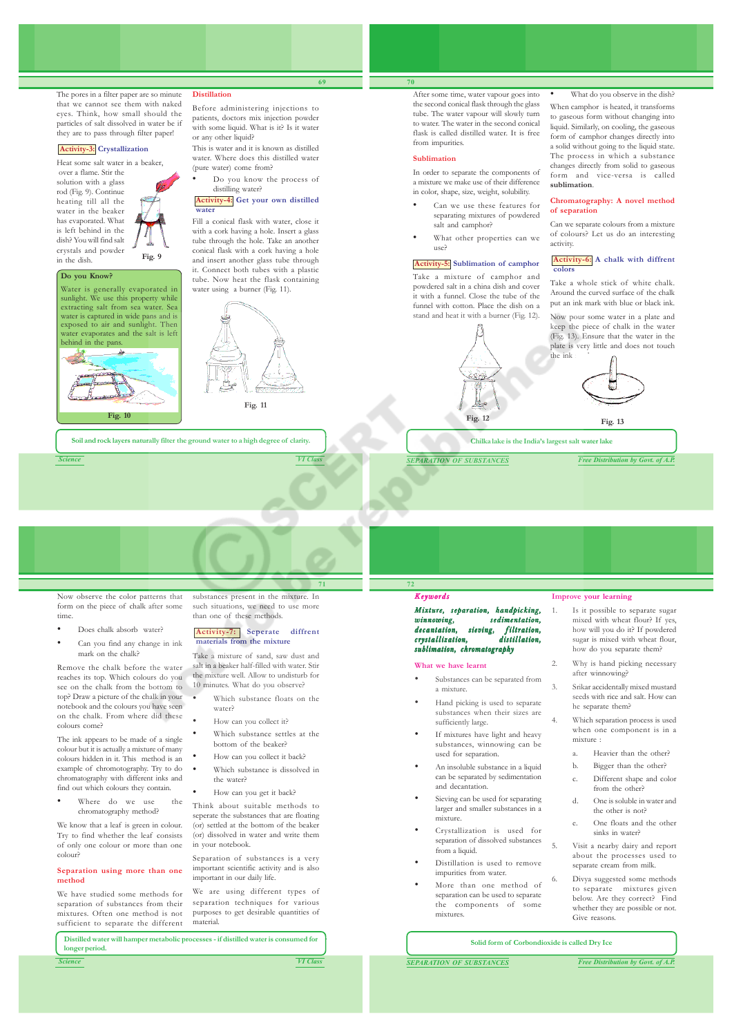#### **Fig. 9** that we cannot see them with naked eyes. Think, how small should the particles of salt dissolved in water be if they are to pass through filter paper! **Activity-3: Crystallization** Heat some salt water in a beaker, Before administering injections to patients, doctors mix injection powder with some liquid. What is it? Is it water or any other liquid? This is water and it is known as distilled water. Where does this distilled water (pure water) come from? • Do you know the process of distilling water? **Activity-4: Get your own distilled water** Fill a conical flask with water, close it with a cork having a hole. Insert a glass tube through the hole. Take an another conical flask with a cork having a hole and insert another glass tube through the second conical flask through the glass tube. The water vapour will slowly turn to water. The water in the second conical flask is called distilled water. It is free from impurities. **Sublimation** In order to separate the components of a mixture we make use of their difference in color, shape, size, weight, solubility. **Activity-5: Sublimation of camphor**

**69**

**70**

After some time, water vapour goes into

Can we use these features for separating mixtures of powdered

What other properties can we

Take a mixture of camphor and powdered salt in a china dish and cover it with a funnel. Close the tube of the funnel with cotton. Place the dish on a stand and heat it with a burner (Fig. 12).

salt and camphor?

use?

**Do you Know?**

 over a flame. Stir the solution with a glass rod (Fig. 9). Continue heating till all the water in the beaker has evaporated. What is left behind in the dish? You will find salt crystals and powder in the dish.



**Fig. 10**

The pores in a filter paper are so minute



**Distillation**



**Fig. 11**

**699** Soil and rock layers naturally filter the ground water to a high degree of clarity. Chilka lake is the India's largest salt water lake

*Science VI Class*

Now observe the color patterns that form on the piece of chalk after some time.

- Does chalk absorb water?
- Can you find any change in ink mark on the chalk?

Remove the chalk before the water reaches its top. Which colours do you see on the chalk from the bottom to top? Draw a picture of the chalk in your notebook and the colours you have seen on the chalk. From where did these colours come?

The ink appears to be made of a single colour but it is actually a mixture of many colours hidden in it. This method is an example of chromotography. Try to do chromatography with different inks and find out which colours they contain.

Where do we use the chromatography method?

We know that a leaf is green in colour. Try to find whether the leaf consists of only one colour or more than one colour?

#### **Separation using more than one method**

We have studied some methods for separation of substances from their mixtures. Often one method is not sufficient to separate the different

*Distilled water will hamper metabolic processes - if distilled water is consumed for***<br>longer period** *Science VI Class* **longer period.** *<i>Proper* **performance processes to example the continuent of the set of the set of the set of the set of the set of the set of the set of the set of the set of the set of the set of the set of the set of** 

substances present in the mixture. In such situations, we need to use more than one of these methods.

**71**

## **Activity-7: Seperate diffrent materials from the mixture**

Take a mixture of sand, saw dust and salt in a beaker half-filled with water. Stir the mixture well. Allow to undisturb for 10 minutes. What do you observe?

- Which substance floats on the water?
- How can you collect it?
- Which substance settles at the bottom of the beaker?
- How can you collect it back?
- Which substance is dissolved in the water?
- How can you get it back?

Think about suitable methods to seperate the substances that are floating (or) settled at the bottom of the beaker (or) dissolved in water and write them in your notebook. Separation of substances is a very

important scientific activity and is also important in our daily life.

We are using different types of separation techniques for various purposes to get desirable quantities of material.

**Solid form of Corbondioxide is called Dry Ice**

*SEPARATION OF SUBSTANCES Free Distribution by Govt. of A.P.*

What do you observe in the dish?

When camphor is heated, it transforms to gaseous form without changing into liquid. Similarly, on cooling, the gaseous form of camphor changes directly into a solid without going to the liquid state. The process in which a substance changes directly from solid to gaseous form and vice-versa is called **sublimation**.

#### **Chromatography: A novel method of separation**

Can we separate colours from a mixture of colours? Let us do an interesting activity.

#### **Activity-6: A chalk with diffrent colors**

Take a whole stick of white chalk. Around the curved surface of the chalk put an ink mark with blue or black ink.

Now pour some water in a plate and keep the piece of chalk in the water (Fig. 13). Ensure that the water in the plate is very little and does not touch the ink



**Fig. 13 Fig. 12**

**Chilka lake is the India's largest salt water lake**

*SEPARATION OF SUBSTANCES Free Distribution by Govt. of A.P.*

#### Keywords

**72**

Mixture, separation, handpicking, winnowing,<br>decantation, sieving, decantation, sieving, filtration,<br>crystallization, distillation, crystallization, sublimation, chromatography

#### **What we have learnt**

- Substances can be separated from a mixture.
- Hand picking is used to separate substances when their sizes are sufficiently large.
- If mixtures have light and heavy substances, winnowing can be used for separation.
- An insoluble substance in a liquid can be separated by sedimentation and decantation.
- Sieving can be used for separating larger and smaller substances in a mixture.
- Crystallization is used for separation of dissolved substances from a liquid.
- Distillation is used to remove impurities from water.
- More than one method of separation can be used to separate the components of some mixtures.

#### **Improve your learning**

- 1. Is it possible to separate sugar mixed with wheat flour? If yes, how will you do it? If powdered sugar is mixed with wheat flour, how do you separate them?
- 2. Why is hand picking necessary after winnowing?
	- 3. Srikar accidentally mixed mustard seeds with rice and salt. How can he separate them?
	- Which separation process is used when one component is in a mixture :
		- a. Heavier than the other?
		- b. Bigger than the other?
		- c. Different shape and color from the other?
		- d. One is soluble in water and the other is not?
		- e. One floats and the other sinks in water?

5. Visit a nearby dairy and report about the processes used to separate cream from milk.

> 6. Divya suggested some methods to separate mixtures given below. Are they correct? Find whether they are possible or not. Give reasons.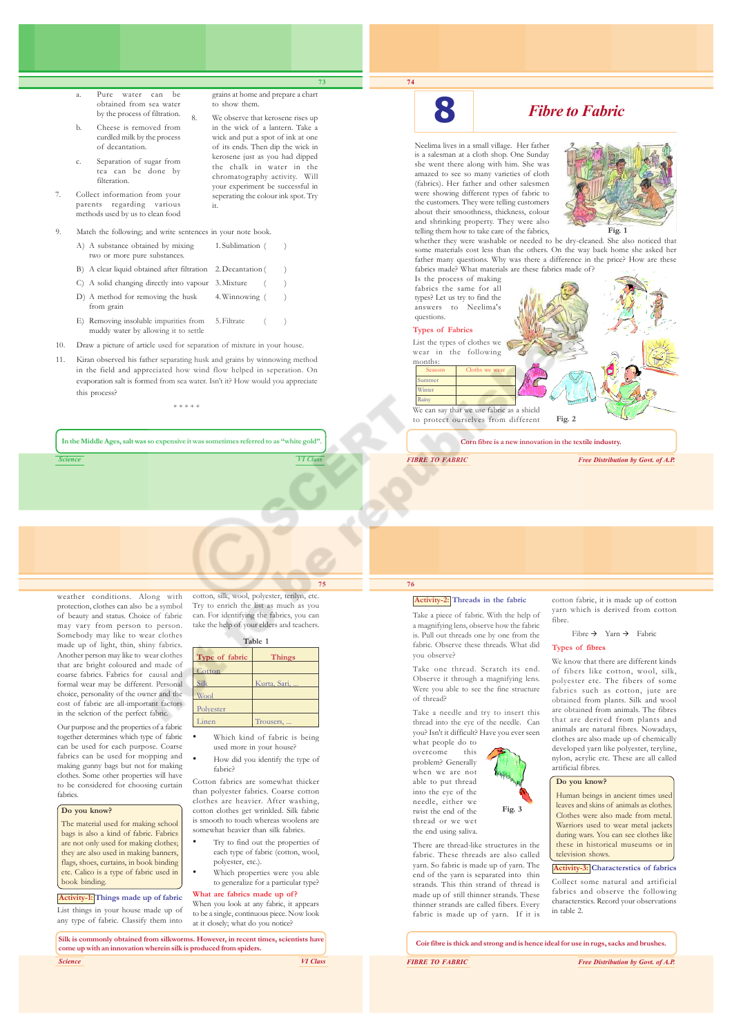|     |                                                                                                                                                                 | 73                                                                                                                                              | 74                                                                                                                   |
|-----|-----------------------------------------------------------------------------------------------------------------------------------------------------------------|-------------------------------------------------------------------------------------------------------------------------------------------------|----------------------------------------------------------------------------------------------------------------------|
|     | Pure water can be<br>a.<br>obtained from sea water                                                                                                              | grains at home and prepare a chart<br>to show them.                                                                                             |                                                                                                                      |
|     | by the process of filtration.<br>8.<br>Cheese is removed from<br>Ъ.<br>curdled milk by the process<br>of decantation.                                           | We observe that kerosene rises up<br>in the wick of a lantern. Take a<br>wick and put a spot of ink at one<br>of its ends. Then dip the wick in | Neelima lives in a small vill                                                                                        |
|     | Separation of sugar from<br>c.<br>tea can be done by<br>filteration.                                                                                            | kerosene just as you had dipped<br>the chalk in water in the<br>chromatography activity. Will<br>your experiment be successful in               | is a salesman at a cloth sho<br>she went there along with<br>amazed to see so many va<br>(fabrics). Her father and   |
| 7.  | Collect information from your<br>parents regarding various<br>methods used by us to clean food                                                                  | seperating the colour ink spot. Try<br>it.                                                                                                      | were showing different typ<br>the customers. They were to<br>about their smoothness, th<br>and shrinking property. T |
| 9.  | Match the following; and write sentences in your note book.                                                                                                     |                                                                                                                                                 | telling them how to take car                                                                                         |
|     | A) A substance obtained by mixing<br>two or more pure substances.                                                                                               | 1. Sublimation (                                                                                                                                | whether they were washab<br>some materials cost less tl<br>father many questions. Wl                                 |
|     | B) A clear liquid obtained after filtration 2. Decantation (                                                                                                    |                                                                                                                                                 | fabrics made? What materia                                                                                           |
|     | C) A solid changing directly into vapour 3. Mixture                                                                                                             |                                                                                                                                                 | Is the process of making<br>fabrics the same for all                                                                 |
|     | D) A method for removing the husk<br>from grain                                                                                                                 | 4. Winnowing (                                                                                                                                  | types? Let us try to find the<br>answers to Neelima's                                                                |
|     | E) Removing insoluble impurities from<br>muddy water by allowing it to settle                                                                                   | 5. Filtrate                                                                                                                                     | questions.<br><b>Types of Fabrics</b>                                                                                |
|     |                                                                                                                                                                 |                                                                                                                                                 | List the types of clothes we                                                                                         |
| 10. | Draw a picture of article used for separation of mixture in your house.<br>1/1000 alexand lik fuller committed light and color liveled and a color of the color |                                                                                                                                                 | wear in the following                                                                                                |
| 11  |                                                                                                                                                                 |                                                                                                                                                 |                                                                                                                      |

11. Kiran observed his father separating husk and grains by winnowing method in the field and appreciated how wind flow helped in seperation. On evaporation salt is formed from sea water. Isn't it? How would you appreciate this process?

\* \* \* \* \*

In the Middle Ages, salt was so expensive it was sometimes referred to as "white gold".

*Science VI Class*

weather conditions. Along with protection, clothes can also be a symbol of beauty and status. Choice of fabric may vary from person to person. Somebody may like to wear clothes made up of light, thin, shiny fabrics. Another person may like to wear clothes that are bright coloured and made of coarse fabrics. Fabrics for causal and **Cotton** 

formal wear may be different. Personal choice, personality of the owner and the cost of fabric are all-important factors in the selction of the perfect fabric.

Our purpose and the properties of a fabric together determines which type of fabric can be used for each purpose. Coarse fabrics can be used for mopping and making gunny bags but not for making clothes. Some other properties will have to be considered for choosing curtain fabrics.

#### **Do you know?**

The material used for making school bags is also a kind of fabric. Fabrics are not only used for making clothes; they are also used in making banners, flags, shoes, curtains, in book binding etc. Calico is a type of fabric used in book binding.

**Activity-1: Things made up of fabric** List things in your house made up of any type of fabric. Classify them into

*Science VI Class* **Silk is commonly obtained from silkworms. However, in recent times, scientists have come up with an innovation wherein silk is produced from spiders.**

## **8** *Fibre to Fabric*

n a small village. Her father a cloth shop. One Sunday along with him. She was so many varieties of cloth father and other salesmen different types of fabric to They were telling customers oothness, thickness, colour property. They were also  $\overrightarrow{w}$  to take care of the fabrics,



were washable or needed to be dry-cleaned. She also noticed that cost less than the others. On the way back home she asked her factor can the state of the may shall there are there is the second the price? How are these What materials are these fabrics made of?

| fabrics the same for all<br>types? Let us try to find the<br>answers to Neelima's<br>questions.<br><b>Types of Fabrics</b>                                                     |                                    |
|--------------------------------------------------------------------------------------------------------------------------------------------------------------------------------|------------------------------------|
| List the types of clothes we<br>wear in the following<br>months:<br>Cloths we wear<br><b>Seasons</b><br>Summer<br>Winter<br>Rainy<br>We can say that we use fabric as a shield |                                    |
| to protect ourselves from different<br>Corn fibre is a new innovation in the textile industry.                                                                                 | Fig. 2                             |
| <b>FIBRE TO FABRIC</b>                                                                                                                                                         | Free Distribution by Govt. of A.P. |

**76**

you observe?

of thread?

cotton fabric, it is made up of cotton yarn which is derived from cotton

Fibre  $\rightarrow$  Yarn  $\rightarrow$  Fabric

We know that there are different kinds of fibers like cotton, wool, silk, polyester etc. The fibers of some

cotton, silk, wool, polyester, terilyn, etc. Try to enrich the list as much as you can. For identifying the fabrics, you can take the help of your elders and teachers.

**75**

| Table 1        |               |  |
|----------------|---------------|--|
| Type of fabric | <b>Things</b> |  |
| Cotton         |               |  |
| Silk           | Kurta, Sari,  |  |
| Wool           |               |  |
| Polyester      |               |  |
| Linen          | Trousers,     |  |

- Which kind of fabric is being used more in your house?
- How did you identify the type of fabric?

Cotton fabrics are somewhat thicker than polyester fabrics. Coarse cotton clothes are heavier. After washing, cotton clothes get wrinkled. Silk fabric is smooth to touch whereas woolens are somewhat heavier than silk fabrics.

- Try to find out the properties of each type of fabric (cotton, wool, polyester, etc.).
- Which properties were you able to generalize for a particular type?

**What are fabrics made up of ?**

When you look at any fabric, it appears to be a single, continuous piece. Now look at it closely; what do you notice?

## **Coir fibre is thick and strong and is hence ideal for use in rugs, sacks and brushes.**

**FIBRE TO FABRIC** *FREE TO FABRIC Free Distribution by Govt. of A.P.* 

Take a needle and try to insert this fabrics such as cotton, jute are obtained from plants. Silk and wool are obtained from animals. The fibres that are derived from plants and animals are natural fibres. Nowadays, clothes are also made up of chemically developed yarn like polyester, teryline, nylon, acrylic etc. These are all called artificial fibres.

**Types of fibres**

fibre.

#### **Do you know?**

Human beings in ancient times used leaves and skins of animals as clothes. Clothes were also made from metal. Warriors used to wear metal jackets during wars. You can see clothes like these in historical museums or in television shows.

**Activity-3: Characterstics of fabrics** Collect some natural and artificial fabrics and observe the following characterstics. Record your observations in table 2.



needle, either we twist the end of the thread or we wet the end using saliva. **Fig. 3**



fabric is made up of yarn. If it is

thread into the eye of the needle. Can you? Isn't it difficult? Have you ever seen .<br>what people do to overcome this problem? Generally when we are not able to put thread into the eye of the

**Activity-2: Threads in the fabric** Take a piece of fabric. With the help of a magnifying lens, observe how the fabric is. Pull out threads one by one from the fabric. Observe these threads. What did

Take one thread. Scratch its end. Observe it through a magnifying lens. Were you able to see the fine structure